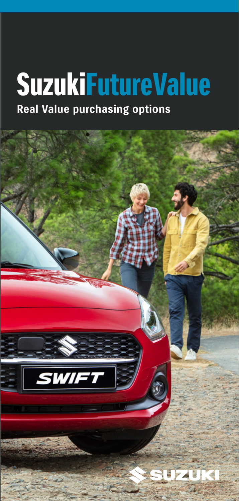## **Real Value purchasing options** SuzukiFutureValue

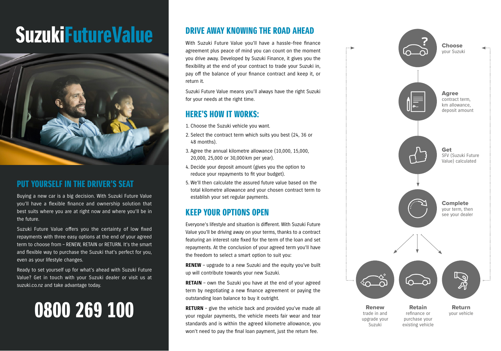# **SuzukiFutureValue**



## PUT YOURSELF IN THE DRIVER'S SEAT

Buying a new car is a big decision. With Suzuki Future Value you'll have a flexible finance and ownership solution that best suits where you are at right now and where you'll be in the future.

Suzuki Future Value offers you the certainty of low fixed repayments with three easy options at the end of your agreed term to choose from – RENEW, RETAIN or RETURN. It's the smart and flexible way to purchase the Suzuki that's perfect for you, even as your lifestyle changes.

Ready to set yourself up for what's ahead with Suzuki Future Value? Get in touch with your Suzuki dealer or visit us at suzuki.co.nz and take advantage today.

## 0800 269 100

## DRIVE AWAY KNOWING THE ROAD AHEAD

With Suzuki Future Value you'll have a hassle-free finance agreement plus peace of mind you can count on the moment you drive away. Developed by Suzuki Finance, it gives you the flexibility at the end of your contract to trade your Suzuki in, pay off the balance of your finance contract and keep it, or return it.

Suzuki Future Value means you'll always have the right Suzuki for your needs at the right time.

## HERE'S HOW IT WORKS:

- 1. Choose the Suzuki vehicle you want.
- 2. Select the contract term which suits you best (24, 36 or 48 months).
- 3. Agree the annual kilometre allowance (10,000, 15,000, 20,000, 25,000 or 30,000 km per year).
- 4. Decide your deposit amount (gives you the option to reduce your repayments to fit your budget).
- 5. We'll then calculate the assured future value based on the total kilometre allowance and your chosen contract term to establish your set regular payments.

## KEEP YOUR OPTIONS OPEN

Everyone's lifestyle and situation is different. With Suzuki Future Value you'll be driving away on your terms, thanks to a contract featuring an interest rate fixed for the term of the loan and set repayments. At the conclusion of your agreed term you'll have the freedom to select a smart option to suit you:

**RENEW** – upgrade to a new Suzuki and the equity you've built up will contribute towards your new Suzuki.

**RETAIN** – own the Suzuki you have at the end of your agreed term by negotiating a new finance agreement or paying the outstanding loan balance to buy it outright.

**RETURN** – give the vehicle back and provided you've made all your regular payments, the vehicle meets fair wear and tear standards and is within the agreed kilometre allowance, you won't need to pay the final loan payment, just the return fee.